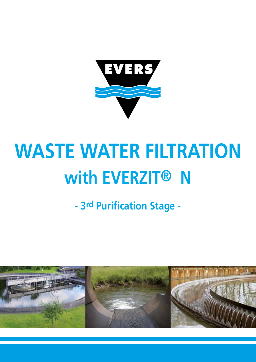

# **WASTE WATER FILTRATION with EVERZIT® N**

**- 3rd Purification Stage -**

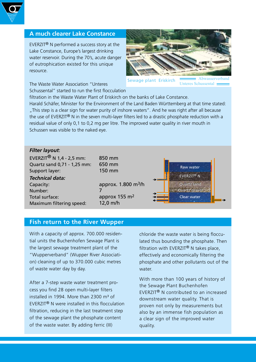

## **A much clearer Lake Constance**

EVERZIT® N performed a success story at the Lake Constance, Europe's largest drinking water reservoir. During the 70's, acute danger of eutrophication existed for this unique resource.

Abwasserverband

 Sewage plant Eriskirch Unteres Schussental

Schussental" started to run the first flocculation

The Waste Water Association "Unteres

filtration in the Waste Water Plant of Eriskirch on the banks of Lake Constance.

Harald Schäfer, Minister for the Environment of the Land Baden Württemberg at that time stated: "This step is a clear sign for water purity of inshore waters". And he was right after all because the use of EVERZIT® N in the seven multi-layer filters led to a drastic phosphate reduction with a residual value of only 0,1 to 0,2 mg per litre. The improved water quality in river mouth in Schussen was visible to the naked eye.

### *Filter layout*:

EVERZIT $^{\circledR}$  N 1.4 - 2.5 mm: Quartz sand 0,71 - 1,25 mm: Support layer: *Technical data:* Capacity: Number: Total surface: Maximum filtering speed: 850 mm 650 mm 150 mm 7 12,0 m/h

approx. 1.800 m3/h approx 155 m2



## **Fish return to the River Wupper**

With a capacity of approx. 700.000 residential units the Buchenhofen Sewage Plant is the largest sewage treatment plant of the "Wupperverband" (Wupper River Association) cleaning of up to 370.000 cubic metres of waste water day by day.

After a 7-step waste water treatment process you find 28 open multi-layer filters installed in 1994. More than 2300 m<sup>3</sup> of EVERZIT® N were installed in this flocculation filtration, reducing in the last treatment step of the sewage plant the phosphate content of the waste water. By adding ferric (III)

chloride the waste water is being flocculated thus bounding the phosphate. Then filtration with EVERZIT<sup>®</sup> N takes place, effectively and economically filtering the phosphate and other pollutants out of the water.

With more than 100 years of history of the Sewage Plant Buchenhofen EVERZIT® N contributed to an increased downstream water quality. That is proven not only by measurements but also by an immense fish population as a clear sign of the improved water quality.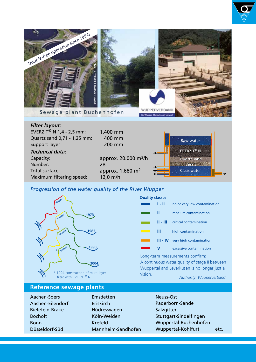

 400 mm 200 mm

approx. 20.000 m3/h

approx. 1.680 m2

#### Maximum filtering speed: 12,0 m/h *Progression of the water quality of the River Wupper*

28



Quartz sand 0,71 - 1,25 mm:

Support layer *Technical data:*

Capacity: Number: Total surface:

| <b>Quality classes</b> |            |                              |
|------------------------|------------|------------------------------|
|                        | 1 - II     | no or very low contamination |
|                        | Ш          | medium contamination         |
|                        | 11 - 111 - | critical contamination       |
|                        | Ш          | high contamination           |
|                        | III - IV   | very high contamination      |
|                        |            | excessive contamination      |

EVERZIT® N EVERZIT® N Quartz sand Quartz sand

Raw water

Clear water

**Basalt** 

Long-term measurements confirm: A continuous water quality of stage II between Wuppertal and Leverkusen is no longer just a vision.

#### *Authority: Wupperverband*

## **Reference sewage plants**

- Aachen-Soers Aachen-Eilendorf Bielefeld-Brake Bocholt Bonn Düsseldorf-Süd
- Emsdetten Eriskirch Hückeswagen Köln-Weiden Krefeld Mannheim-Sandhofen
- Neuss-Ost Paderborn-Sande **Salzgitter** Stuttgart-Sindelfingen Wuppertal-Buchenhofen Wuppertal-Kohlfurt etc.